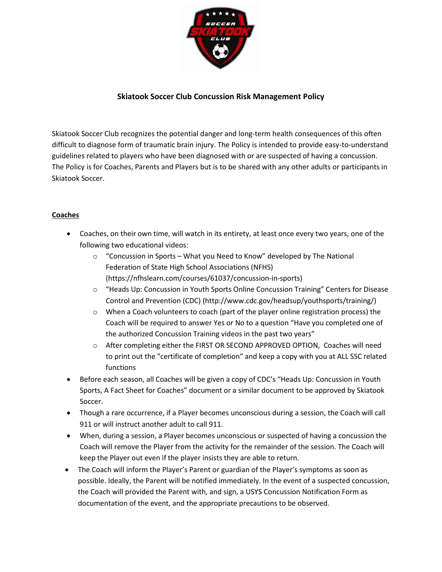

## **Skiatook Soccer Club Concussion Risk Management Policy**

Skiatook Soccer Club recognizes the potential danger and long-term health consequences of this often difficult to diagnose form of traumatic brain injury. The Policy is intended to provide easy-to-understand guidelines related to players who have been diagnosed with or are suspected of having a concussion. The Policy is for Coaches, Parents and Players but is to be shared with any other adults or participants in Skiatook Soccer.

## **Coaches**

- Coaches, on their own time, will watch in its entirety, at least once every two years, one of the following two educational videos:
	- o "Concussion in Sports What you Need to Know" developed by The National Federation of State High School Associations (NFHS) (https://nfhslearn.com/courses/61037/concussion-in-sports)
	- o "Heads Up: Concussion in Youth Sports Online Concussion Training" Centers for Disease Control and Prevention (CDC) (http://www.cdc.gov/headsup/youthsports/training/)
	- $\circ$  When a Coach volunteers to coach (part of the player online registration process) the Coach will be required to answer Yes or No to a question "Have you completed one of the authorized Concussion Training videos in the past two years"
	- o After completing either the FIRST OR SECOND APPROVED OPTION, Coaches will need to print out the "certificate of completion" and keep a copy with you at ALL SSC related functions
- Before each season, all Coaches will be given a copy of CDC's "Heads Up: Concussion in Youth Sports, A Fact Sheet for Coaches" document or a similar document to be approved by Skiatook Soccer.
- Though a rare occurrence, if a Player becomes unconscious during a session, the Coach will call 911 or will instruct another adult to call 911.
- When, during a session, a Player becomes unconscious or suspected of having a concussion the Coach will remove the Player from the activity for the remainder of the session. The Coach will keep the Player out even if the player insists they are able to return.
- The Coach will inform the Player's Parent or guardian of the Player's symptoms as soon as possible. Ideally, the Parent will be notified immediately. In the event of a suspected concussion, the Coach will provided the Parent with, and sign, a USYS Concussion Notification Form as documentation of the event, and the appropriate precautions to be observed.